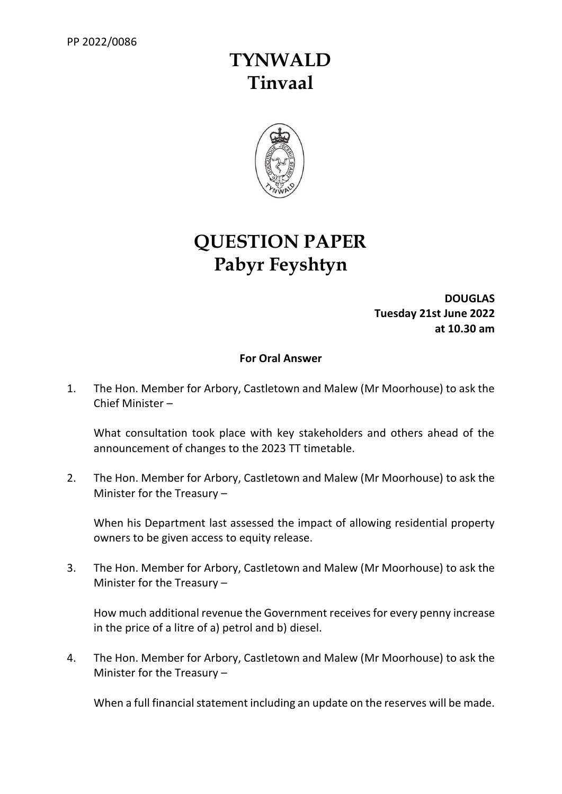## **TYNWALD Tinvaal**



## **QUESTION PAPER Pabyr Feyshtyn**

**DOUGLAS Tuesday 21st June 2022 at 10.30 am**

## **For Oral Answer**

1. The Hon. Member for Arbory, Castletown and Malew (Mr Moorhouse) to ask the Chief Minister –

What consultation took place with key stakeholders and others ahead of the announcement of changes to the 2023 TT timetable.

2. The Hon. Member for Arbory, Castletown and Malew (Mr Moorhouse) to ask the Minister for the Treasury –

When his Department last assessed the impact of allowing residential property owners to be given access to equity release.

3. The Hon. Member for Arbory, Castletown and Malew (Mr Moorhouse) to ask the Minister for the Treasury –

How much additional revenue the Government receives for every penny increase in the price of a litre of a) petrol and b) diesel.

4. The Hon. Member for Arbory, Castletown and Malew (Mr Moorhouse) to ask the Minister for the Treasury –

When a full financial statement including an update on the reserves will be made.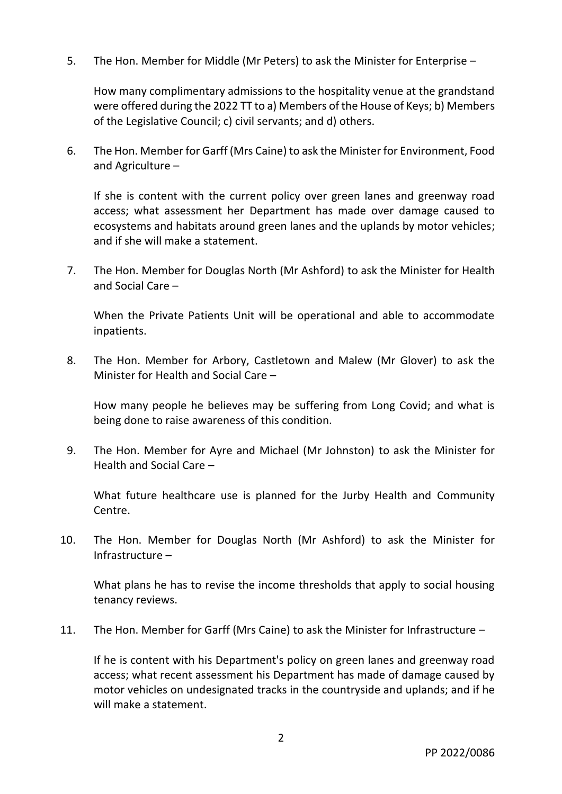5. The Hon. Member for Middle (Mr Peters) to ask the Minister for Enterprise –

How many complimentary admissions to the hospitality venue at the grandstand were offered during the 2022 TT to a) Members of the House of Keys; b) Members of the Legislative Council; c) civil servants; and d) others.

6. The Hon. Member for Garff (Mrs Caine) to ask the Minister for Environment, Food and Agriculture –

If she is content with the current policy over green lanes and greenway road access; what assessment her Department has made over damage caused to ecosystems and habitats around green lanes and the uplands by motor vehicles; and if she will make a statement.

7. The Hon. Member for Douglas North (Mr Ashford) to ask the Minister for Health and Social Care –

When the Private Patients Unit will be operational and able to accommodate inpatients.

8. The Hon. Member for Arbory, Castletown and Malew (Mr Glover) to ask the Minister for Health and Social Care –

How many people he believes may be suffering from Long Covid; and what is being done to raise awareness of this condition.

9. The Hon. Member for Ayre and Michael (Mr Johnston) to ask the Minister for Health and Social Care –

What future healthcare use is planned for the Jurby Health and Community Centre.

10. The Hon. Member for Douglas North (Mr Ashford) to ask the Minister for Infrastructure –

What plans he has to revise the income thresholds that apply to social housing tenancy reviews.

11. The Hon. Member for Garff (Mrs Caine) to ask the Minister for Infrastructure –

If he is content with his Department's policy on green lanes and greenway road access; what recent assessment his Department has made of damage caused by motor vehicles on undesignated tracks in the countryside and uplands; and if he will make a statement.